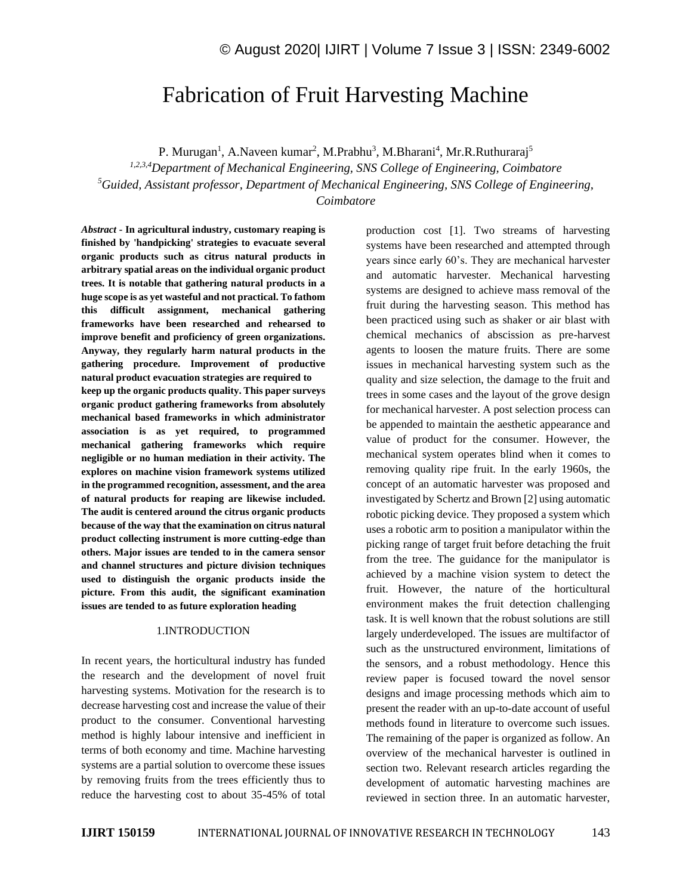# Fabrication of Fruit Harvesting Machine

P. Murugan<sup>1</sup>, A.Naveen kumar<sup>2</sup>, M.Prabhu<sup>3</sup>, M.Bharani<sup>4</sup>, Mr.R.Ruthuraraj<sup>5</sup>

*1,2,3,4Department of Mechanical Engineering, SNS College of Engineering, Coimbatore <sup>5</sup>Guided, Assistant professor, Department of Mechanical Engineering, SNS College of Engineering, Coimbatore*

*Abstract -* **In agricultural industry, customary reaping is finished by 'handpicking' strategies to evacuate several organic products such as citrus natural products in arbitrary spatial areas on the individual organic product trees. It is notable that gathering natural products in a huge scope is as yet wasteful and not practical. To fathom this difficult assignment, mechanical gathering frameworks have been researched and rehearsed to improve benefit and proficiency of green organizations. Anyway, they regularly harm natural products in the gathering procedure. Improvement of productive natural product evacuation strategies are required to keep up the organic products quality. This paper surveys organic product gathering frameworks from absolutely mechanical based frameworks in which administrator association is as yet required, to programmed mechanical gathering frameworks which require negligible or no human mediation in their activity. The explores on machine vision framework systems utilized in the programmed recognition, assessment, and the area of natural products for reaping are likewise included. The audit is centered around the citrus organic products because of the way that the examination on citrus natural product collecting instrument is more cutting-edge than others. Major issues are tended to in the camera sensor and channel structures and picture division techniques used to distinguish the organic products inside the picture. From this audit, the significant examination issues are tended to as future exploration heading**

#### 1.INTRODUCTION

In recent years, the horticultural industry has funded the research and the development of novel fruit harvesting systems. Motivation for the research is to decrease harvesting cost and increase the value of their product to the consumer. Conventional harvesting method is highly labour intensive and inefficient in terms of both economy and time. Machine harvesting systems are a partial solution to overcome these issues by removing fruits from the trees efficiently thus to reduce the harvesting cost to about 35-45% of total

production cost [1]. Two streams of harvesting systems have been researched and attempted through years since early 60's. They are mechanical harvester and automatic harvester. Mechanical harvesting systems are designed to achieve mass removal of the fruit during the harvesting season. This method has been practiced using such as shaker or air blast with chemical mechanics of abscission as pre-harvest agents to loosen the mature fruits. There are some issues in mechanical harvesting system such as the quality and size selection, the damage to the fruit and trees in some cases and the layout of the grove design for mechanical harvester. A post selection process can be appended to maintain the aesthetic appearance and value of product for the consumer. However, the mechanical system operates blind when it comes to removing quality ripe fruit. In the early 1960s, the concept of an automatic harvester was proposed and investigated by Schertz and Brown [2] using automatic robotic picking device. They proposed a system which uses a robotic arm to position a manipulator within the picking range of target fruit before detaching the fruit from the tree. The guidance for the manipulator is achieved by a machine vision system to detect the fruit. However, the nature of the horticultural environment makes the fruit detection challenging task. It is well known that the robust solutions are still largely underdeveloped. The issues are multifactor of such as the unstructured environment, limitations of the sensors, and a robust methodology. Hence this review paper is focused toward the novel sensor designs and image processing methods which aim to present the reader with an up-to-date account of useful methods found in literature to overcome such issues. The remaining of the paper is organized as follow. An overview of the mechanical harvester is outlined in section two. Relevant research articles regarding the development of automatic harvesting machines are reviewed in section three. In an automatic harvester,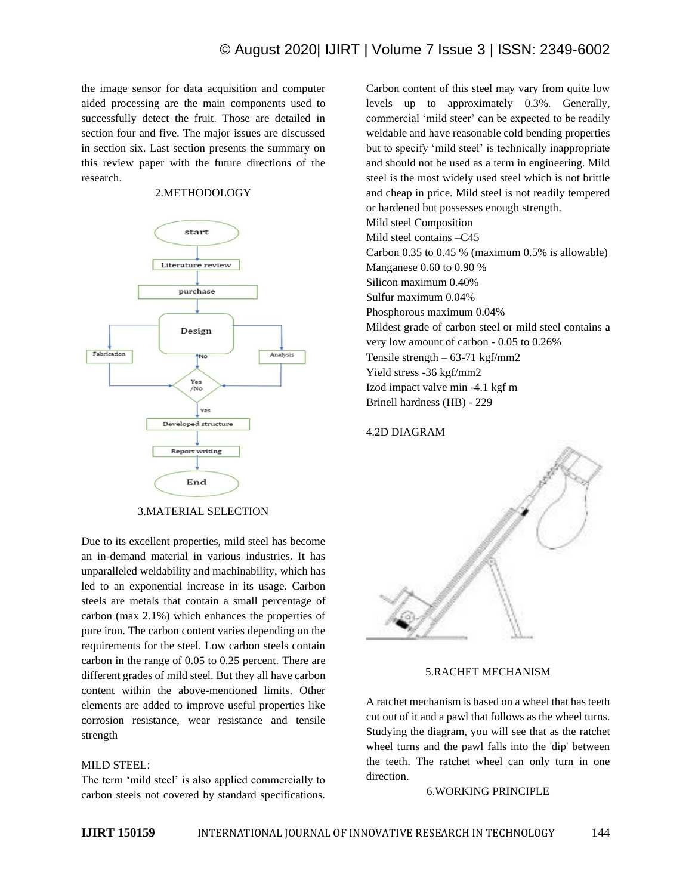the image sensor for data acquisition and computer aided processing are the main components used to successfully detect the fruit. Those are detailed in section four and five. The major issues are discussed in section six. Last section presents the summary on this review paper with the future directions of the research.

## 2.METHODOLOGY



3.MATERIAL SELECTION

Due to its excellent properties, mild steel has become an in-demand material in various industries. It has unparalleled weldability and machinability, which has led to an exponential increase in its usage. Carbon steels are metals that contain a small percentage of carbon (max 2.1%) which enhances the properties of pure iron. The carbon content varies depending on the requirements for the steel. Low carbon steels contain carbon in the range of 0.05 to 0.25 percent. There are different grades of mild steel. But they all have carbon content within the above-mentioned limits. Other elements are added to improve useful properties like corrosion resistance, wear resistance and tensile strength

# MILD STEEL:

The term 'mild steel' is also applied commercially to carbon steels not covered by standard specifications. Carbon content of this steel may vary from quite low levels up to approximately 0.3%. Generally, commercial 'mild steer' can be expected to be readily weldable and have reasonable cold bending properties but to specify 'mild steel' is technically inappropriate and should not be used as a term in engineering. Mild steel is the most widely used steel which is not brittle and cheap in price. Mild steel is not readily tempered or hardened but possesses enough strength. Mild steel Composition Mild steel contains –C45 Carbon 0.35 to 0.45 % (maximum 0.5% is allowable) Manganese 0.60 to 0.90 % Silicon maximum 0.40% Sulfur maximum 0.04% Phosphorous maximum 0.04% Mildest grade of carbon steel or mild steel contains a very low amount of carbon - 0.05 to 0.26% Tensile strength  $-63-71$  kgf/mm2 Yield stress -36 kgf/mm2 Izod impact valve min -4.1 kgf m Brinell hardness (HB) - 229

### 4.2D DIAGRAM



## 5.RACHET MECHANISM

A ratchet mechanism is based on a wheel that has teeth cut out of it and a pawl that follows as the wheel turns. Studying the diagram, you will see that as the ratchet wheel turns and the pawl falls into the 'dip' between the teeth. The ratchet wheel can only turn in one direction.

### 6.WORKING PRINCIPLE